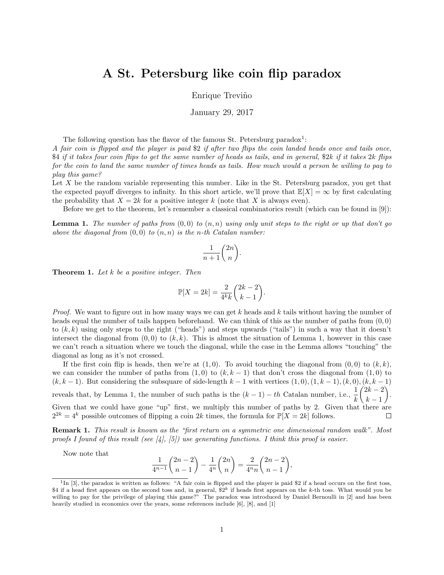## A St. Petersburg like coin flip paradox

Enrique Treviño

January 29, 2017

The following question has the flavor of the famous St. Petersburg paradox<sup>1</sup>:

A fair coin is flipped and the player is paid \$2 if after two flips the coin landed heads once and tails once,  $$4$  if it takes four coin flips to get the same number of heads as tails, and in general,  $$2k$  if it takes  $2k$  flips for the coin to land the same number of times heads as tails. How much would a person be willing to pay to play this game?

Let X be the random variable representing this number. Like in the St. Petersburg paradox, you get that the expected payoff diverges to infinity. In this short article, we'll prove that  $\mathbb{E}[X] = \infty$  by first calculating the probability that  $X = 2k$  for a positive integer k (note that X is always even).

Before we get to the theorem, let's remember a classical combinatorics result (which can be found in [9]):

**Lemma 1.** The number of paths from  $(0,0)$  to  $(n,n)$  using only unit steps to the right or up that don't go above the diagonal from  $(0,0)$  to  $(n, n)$  is the n-th Catalan number:

$$
\frac{1}{n+1}\binom{2n}{n}.
$$

**Theorem 1.** Let  $k$  be a positive integer. Then

$$
\mathbb{P}[X=2k] = \frac{2}{4^k k} \binom{2k-2}{k-1}.
$$

*Proof.* We want to figure out in how many ways we can get  $k$  heads and  $k$  tails without having the number of heads equal the number of tails happen beforehand. We can think of this as the number of paths from  $(0, 0)$ to  $(k, k)$  using only steps to the right ("heads") and steps upwards ("tails") in such a way that it doesn't intersect the diagonal from  $(0, 0)$  to  $(k, k)$ . This is almost the situation of Lemma 1, however in this case we can't reach a situation where we touch the diagonal, while the case in the Lemma allows "touching" the diagonal as long as it's not crossed.

If the first coin flip is heads, then we're at  $(1,0)$ . To avoid touching the diagonal from  $(0,0)$  to  $(k, k)$ , we can consider the number of paths from  $(1,0)$  to  $(k, k-1)$  that don't cross the diagonal from  $(1,0)$  to  $(k, k-1)$ . But considering the subsquare of side-length  $k-1$  with vertices  $(1, 0), (1, k-1), (k, 0), (k, k-1)$ reveals that, by Lemma 1, the number of such paths is the  $(k-1) - th$  Catalan number, i.e.,  $\frac{1}{k}$  $(2k - 2)$  .  $k-1$ Given that we could have gone "up" first, we multiply this number of paths by 2. Given that there are  $2^{2k} = 4^k$  possible outcomes of flipping a coin 2k times, the formula for  $\mathbb{P}[X = 2k]$  follows.  $\Box$ 

Remark 1. This result is known as the "first return on a symmetric one dimensional random walk". Most proofs I found of this result (see [4], [5]) use generating functions. I think this proof is easier.

Now note that

$$
\frac{1}{4^{n-1}}\binom{2n-2}{n-1} - \frac{1}{4^n}\binom{2n}{n} = \frac{2}{4^n n}\binom{2n-2}{n-1},
$$

<sup>&</sup>lt;sup>1</sup>In [3], the paradox is written as follows: "A fair coin is flipped and the player is paid \$2 if a head occurs on the first toss, \$4 if a head first appears on the second toss and, in general,  $2^k$  if heads first appears on the k-th toss. What would you be willing to pay for the privilege of playing this game?" The paradox was introduced by Daniel Bernoulli in [2] and has been heavily studied in economics over the years, some references include [6], [8], and [1]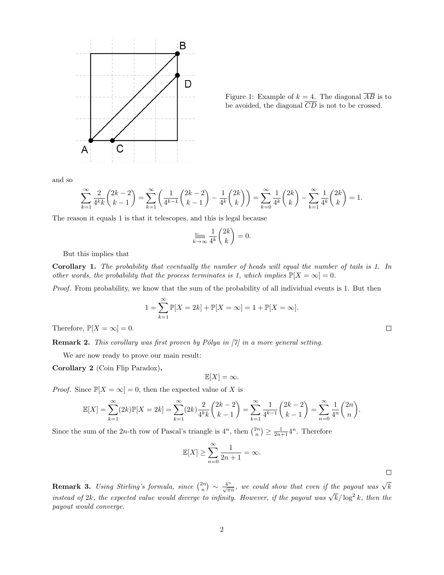

Figure 1: Example of  $k = 4$ . The diagonal  $\overline{AB}$  is to be avoided, the diagonal  $\overline{CD}$  is not to be crossed.

 $\Box$ 

and so

$$
\sum_{k=1}^{\infty} \frac{2}{4^k k} \binom{2k-2}{k-1} = \sum_{k=1}^{\infty} \left( \frac{1}{4^{k-1}} \binom{2k-2}{k-1} - \frac{1}{4^k} \binom{2k}{k} \right) = \sum_{k=0}^{\infty} \frac{1}{4^k} \binom{2k}{k} - \sum_{k=1}^{\infty} \frac{1}{4^k} \binom{2k}{k} = 1.
$$

The reason it equals 1 is that it telescopes, and this is legal because

$$
\lim_{k \to \infty} \frac{1}{4^k} \binom{2k}{k} = 0.
$$

But this implies that

Corollary 1. The probability that eventually the number of heads will equal the number of tails is 1. In other words, the probability that the process terminates is 1, which implies  $\mathbb{P}[X = \infty] = 0$ .

Proof. From probability, we know that the sum of the probability of all individual events is 1. But then

$$
1 = \sum_{k=1}^{\infty} \mathbb{P}[X = 2k] + \mathbb{P}[X = \infty] = 1 + \mathbb{P}[X = \infty].
$$

Therefore,  $\mathbb{P}[X = \infty] = 0$ .

**Remark 2.** This corollary was first proven by Pólya in  $[7]$  in a more general setting.

We are now ready to prove our main result:

Corollary 2 (Coin Flip Paradox).

 $\mathbb{E}[X] = \infty.$ 

*Proof.* Since  $\mathbb{P}[X = \infty] = 0$ , then the expected value of X is

$$
\mathbb{E}[X] = \sum_{k=1}^{\infty} (2k) \mathbb{P}[X = 2k] = \sum_{k=1}^{\infty} (2k) \frac{2}{4^k k} {2k - 2 \choose k - 1} = \sum_{k=1}^{\infty} \frac{1}{4^{k-1}} {2k - 2 \choose k - 1} = \sum_{n=0}^{\infty} \frac{1}{4^n} {2n \choose n}.
$$

Since the sum of the 2n-th row of Pascal's triangle is  $4^n$ , then  $\binom{2n}{n} \ge \frac{1}{2n+1} 4^n$ . Therefore

$$
\mathbb{E}[X] \ge \sum_{n=0}^{\infty} \frac{1}{2n+1} = \infty.
$$

**Remark 3.** Using Stirling's formula, since  $\binom{2n}{n} \sim \frac{4^n}{\sqrt{\pi n}}$ , we could show that even if the payout was  $\sqrt{k}$ instead of 2k, the expected value would diverge to infinity. However, if the payout was  $\sqrt{k}/\log^2{k}$ , then the payout would converge.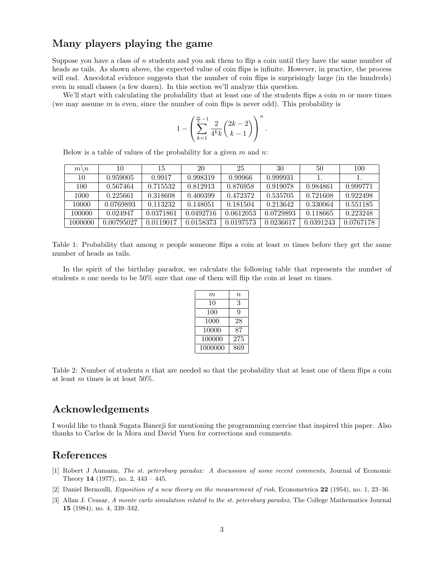## Many players playing the game

Suppose you have a class of  $n$  students and you ask them to flip a coin until they have the same number of heads as tails. As shown above, the expected value of coin flips is infinite. However, in practice, the process will end. Anecdotal evidence suggests that the number of coin flips is surprisingly large (in the hundreds) even in small classes (a few dozen). In this section we'll analyze this question.

We'll start with calculating the probability that at least one of the students flips a coin  $m$  or more times (we may assume  $m$  is even, since the number of coin flips is never odd). This probability is

$$
1 - \left(\sum_{k=1}^{\frac{m}{2}-1} \frac{2}{4^k k} {2k-2 \choose k-1} \right)^n
$$

.

Below is a table of values of the probability for a given  $m$  and  $n$ .

| $m \backslash n$ | 10         | 15        | 20        | 25        | 30        | 50        | 100       |
|------------------|------------|-----------|-----------|-----------|-----------|-----------|-----------|
| 10               | 0.959005   | 0.9917    | 0.998319  | 0.99966   | 0.999931  |           |           |
| 100              | 0.567464   | 0.715532  | 0.812913  | 0.876958  | 0.919078  | 0.984861  | 0.999771  |
| 1000             | 0.225661   | 0.318608  | 0.400399  | 0.472372  | 0.535705  | 0.721608  | 0.922498  |
| 10000            | 0.0769893  | 0.113232  | 0.148051  | 0.181504  | 0.213642  | 0.330064  | 0.551185  |
| 100000           | 0.024947   | 0.0371861 | 0.0492716 | 0.0612053 | 0.0729893 | 0.118665  | 0.223248  |
| 1000000          | 0.00795027 | 0.0119017 | 0.0158373 | 0.0197573 | 0.0236617 | 0.0391243 | 0.0767178 |

Table 1: Probability that among n people someone flips a coin at least  $m$  times before they get the same number of heads as tails.

In the spirit of the birthday paradox, we calculate the following table that represents the number of students n one needs to be  $50\%$  sure that one of them will flip the coin at least m times.

| $\,m$   | $\, n$ |
|---------|--------|
| 10      | 3      |
| 100     | 9      |
| 1000    | 28     |
| 10000   | 87     |
| 100000  | 275    |
| 1000000 | 869    |

Table 2: Number of students n that are needed so that the probability that at least one of them flips a coin at least m times is at least  $50\%$ .

## Acknowledgements

I would like to thank Sugata Banerji for mentioning the programming exercise that inspired this paper. Also thanks to Carlos de la Mora and David Yuen for corrections and comments.

## References

- [1] Robert J Aumann, The st. petersburg paradox: A discussion of some recent comments, Journal of Economic Theory 14 (1977), no. 2, 443 – 445.
- [2] Daniel Bernoulli, Exposition of a new theory on the measurement of risk, Econometrica 22 (1954), no. 1, 23–36.
- [3] Allan J. Ceasar, A monte carlo simulation related to the st. petersburg paradox, The College Mathematics Journal 15 (1984), no. 4, 339–342.